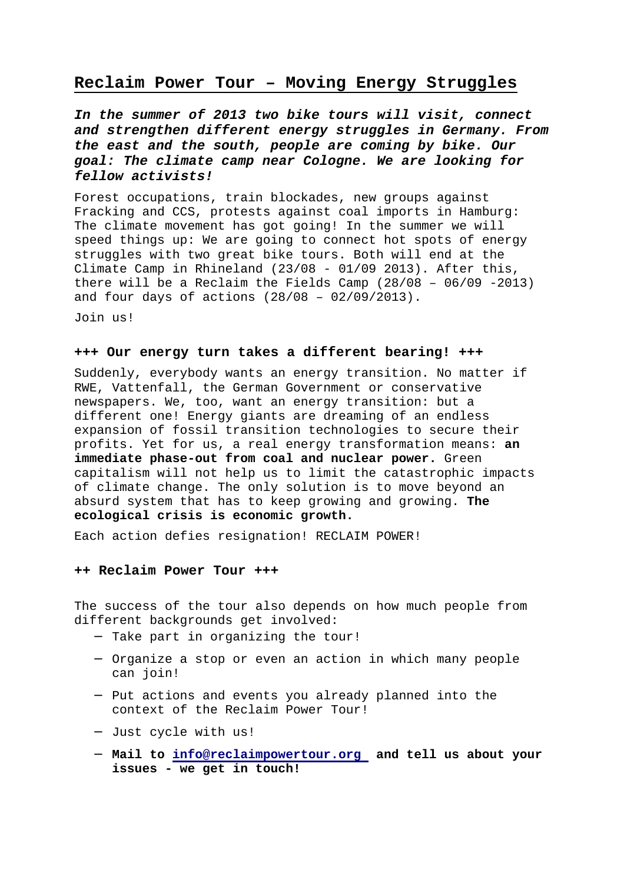## **Reclaim Power Tour – Moving Energy Struggles**

**In the summer of 2013 two bike tours will visit, connect and strengthen different energy struggles in Germany. From the east and the south, people are coming by bike. Our goal: The climate camp near Cologne. We are looking for fellow activists!** 

Forest occupations, train blockades, new groups against Fracking and CCS, protests against coal imports in Hamburg: The climate movement has got going! In the summer we will speed things up: We are going to connect hot spots of energy struggles with two great bike tours. Both will end at the Climate Camp in Rhineland (23/08 - 01/09 2013). After this, there will be a Reclaim the Fields Camp (28/08 – 06/09 -2013) and four days of actions (28/08 – 02/09/2013).

Join us!

## **+++ Our energy turn takes a different bearing! +++**

Suddenly, everybody wants an energy transition. No matter if RWE, Vattenfall, the German Government or conservative newspapers. We, too, want an energy transition: but a different one! Energy giants are dreaming of an endless expansion of fossil transition technologies to secure their profits. Yet for us, a real energy transformation means: **an immediate phase-out from coal and nuclear power.** Green capitalism will not help us to limit the catastrophic impacts of climate change. The only solution is to move beyond an absurd system that has to keep growing and growing. **The ecological crisis is economic growth.**

Each action defies resignation! RECLAIM POWER!

## **++ Reclaim Power Tour +++**

The success of the tour also depends on how much people from different backgrounds get involved:

- − Take part in organizing the tour!
- − Organize a stop or even an action in which many people can join!
- − Put actions and events you already planned into the context of the Reclaim Power Tour!
- − Just cycle with us!
- − **Mail to info@reclaimpowertour.org and tell us about your issues - we get in touch!**